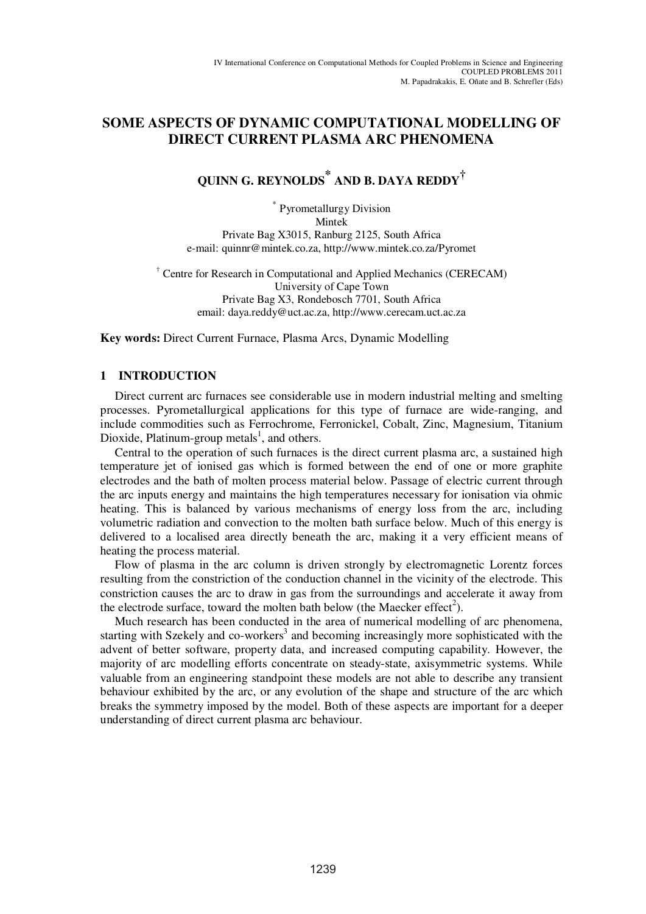# **SOME ASPECTS OF DYNAMIC COMPUTATIONAL MODELLING OF DIRECT CURRENT PLASMA ARC PHENOMENA**

# **QUINN G. REYNOLDS \* AND B. DAYA REDDY†**

\* Pyrometallurgy Division Mintek Private Bag X3015, Ranburg 2125, South Africa e-mail: quinnr@mintek.co.za, http://www.mintek.co.za/Pyromet

† Centre for Research in Computational and Applied Mechanics (CERECAM) University of Cape Town Private Bag X3, Rondebosch 7701, South Africa email: daya.reddy@uct.ac.za, http://www.cerecam.uct.ac.za

**Key words:** Direct Current Furnace, Plasma Arcs, Dynamic Modelling

# **1 INTRODUCTION**

Direct current arc furnaces see considerable use in modern industrial melting and smelting processes. Pyrometallurgical applications for this type of furnace are wide-ranging, and include commodities such as Ferrochrome, Ferronickel, Cobalt, Zinc, Magnesium, Titanium Dioxide, Platinum-group metals<sup>1</sup>, and others.

Central to the operation of such furnaces is the direct current plasma arc, a sustained high temperature jet of ionised gas which is formed between the end of one or more graphite electrodes and the bath of molten process material below. Passage of electric current through the arc inputs energy and maintains the high temperatures necessary for ionisation via ohmic heating. This is balanced by various mechanisms of energy loss from the arc, including volumetric radiation and convection to the molten bath surface below. Much of this energy is delivered to a localised area directly beneath the arc, making it a very efficient means of heating the process material.

Flow of plasma in the arc column is driven strongly by electromagnetic Lorentz forces resulting from the constriction of the conduction channel in the vicinity of the electrode. This constriction causes the arc to draw in gas from the surroundings and accelerate it away from the electrode surface, toward the molten bath below (the Maecker effect<sup>2</sup>).

Much research has been conducted in the area of numerical modelling of arc phenomena, starting with Szekely and co-workers<sup>3</sup> and becoming increasingly more sophisticated with the advent of better software, property data, and increased computing capability. However, the majority of arc modelling efforts concentrate on steady-state, axisymmetric systems. While valuable from an engineering standpoint these models are not able to describe any transient behaviour exhibited by the arc, or any evolution of the shape and structure of the arc which breaks the symmetry imposed by the model. Both of these aspects are important for a deeper understanding of direct current plasma arc behaviour.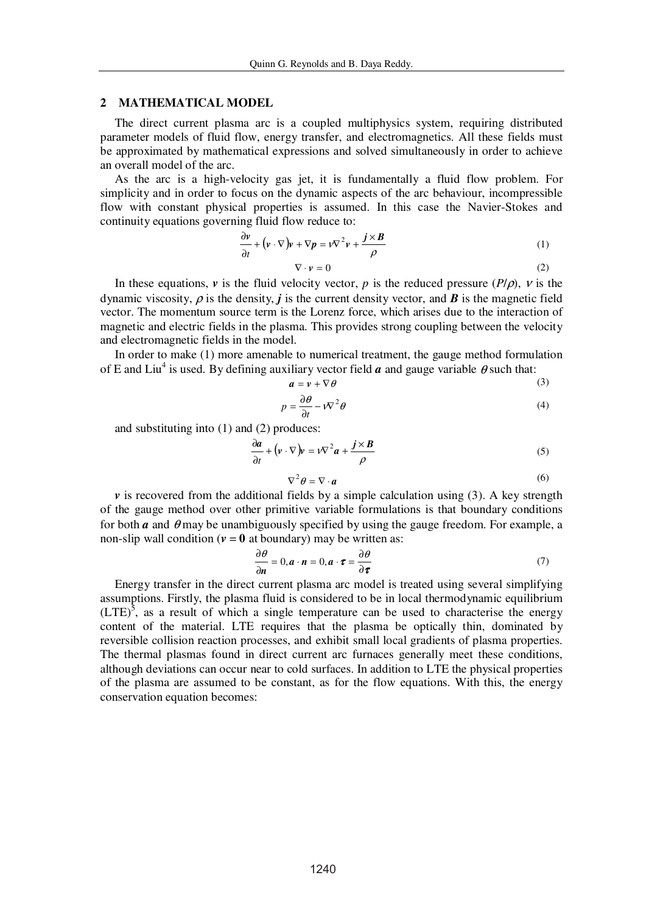#### **2 MATHEMATICAL MODEL**

The direct current plasma arc is a coupled multiphysics system, requiring distributed parameter models of fluid flow, energy transfer, and electromagnetics. All these fields must be approximated by mathematical expressions and solved simultaneously in order to achieve an overall model of the arc.

As the arc is a high-velocity gas jet, it is fundamentally a fluid flow problem. For simplicity and in order to focus on the dynamic aspects of the arc behaviour, incompressible flow with constant physical properties is assumed. In this case the Navier-Stokes and continuity equations governing fluid flow reduce to:

$$
\frac{\partial v}{\partial t} + \left( v \cdot \nabla \right) v + \nabla p = v \nabla^2 v + \frac{j \times B}{\rho}
$$
 (1)

$$
\nabla \cdot \mathbf{v} = 0 \tag{2}
$$

In these equations, *v* is the fluid velocity vector, *p* is the reduced pressure  $(P/\rho)$ , *v* is the dynamic viscosity,  $\rho$  is the density, *j* is the current density vector, and *B* is the magnetic field vector. The momentum source term is the Lorenz force, which arises due to the interaction of magnetic and electric fields in the plasma. This provides strong coupling between the velocity and electromagnetic fields in the model.

In order to make (1) more amenable to numerical treatment, the gauge method formulation of E and Liu<sup>4</sup> is used. By defining auxiliary vector field  $\boldsymbol{a}$  and gauge variable  $\theta$  such that:

$$
a = v + \nabla \theta \tag{3}
$$

$$
p = \frac{\partial \theta}{\partial t} - i \nabla^2 \theta \tag{4}
$$

and substituting into (1) and (2) produces:

$$
\frac{\partial a}{\partial t} + \left( v \cdot \nabla \right) v = v \nabla^2 a + \frac{j \times B}{\rho}
$$
\n(5)

$$
\nabla^2 \theta = \nabla \cdot \boldsymbol{a} \tag{6}
$$

 $\nu$  is recovered from the additional fields by a simple calculation using (3). A key strength of the gauge method over other primitive variable formulations is that boundary conditions for both  $a$  and  $\theta$  may be unambiguously specified by using the gauge freedom. For example, a non-slip wall condition ( $v = 0$  at boundary) may be written as:

$$
\frac{\partial \theta}{\partial n} = 0, a \cdot n = 0, a \cdot \tau = \frac{\partial \theta}{\partial \tau}
$$
(7)

Energy transfer in the direct current plasma arc model is treated using several simplifying assumptions. Firstly, the plasma fluid is considered to be in local thermodynamic equilibrium  $(LTE)^5$ , as a result of which a single temperature can be used to characterise the energy content of the material. LTE requires that the plasma be optically thin, dominated by reversible collision reaction processes, and exhibit small local gradients of plasma properties. The thermal plasmas found in direct current arc furnaces generally meet these conditions, although deviations can occur near to cold surfaces. In addition to LTE the physical properties of the plasma are assumed to be constant, as for the flow equations. With this, the energy conservation equation becomes: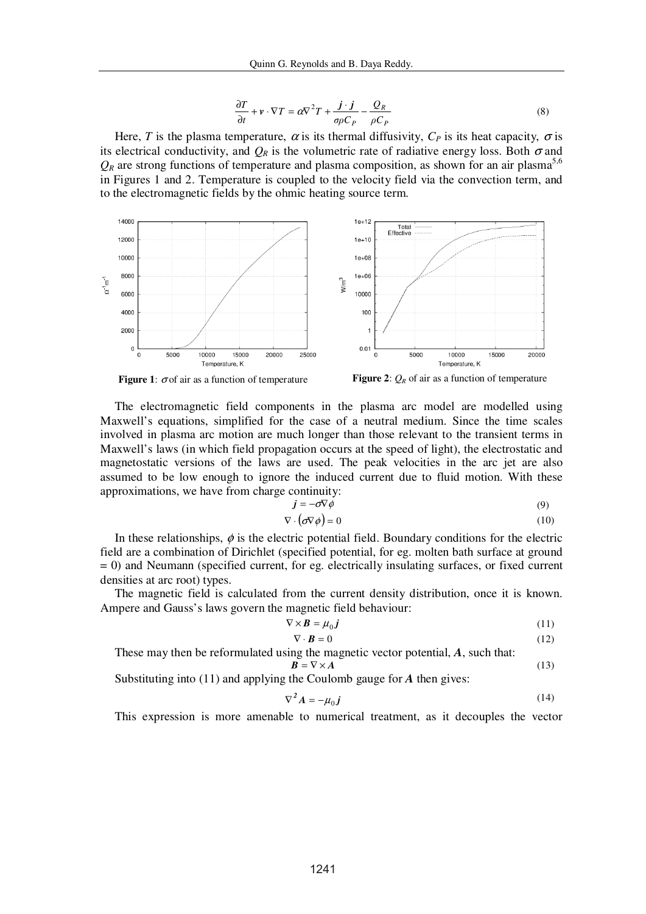$$
\frac{\partial T}{\partial t} + v \cdot \nabla T = \alpha \nabla^2 T + \frac{\boldsymbol{j} \cdot \boldsymbol{j}}{\sigma \rho C_P} - \frac{Q_R}{\rho C_P} \tag{8}
$$

Here, *T* is the plasma temperature,  $\alpha$  is its thermal diffusivity,  $C_P$  is its heat capacity,  $\sigma$  is its electrical conductivity, and  $O_R$  is the volumetric rate of radiative energy loss. Both  $\sigma$  and  $Q_R$  are strong functions of temperature and plasma composition, as shown for an air plasma<sup>5,6</sup> in Figures 1 and 2. Temperature is coupled to the velocity field via the convection term, and to the electromagnetic fields by the ohmic heating source term.







The electromagnetic field components in the plasma arc model are modelled using Maxwell's equations, simplified for the case of a neutral medium. Since the time scales involved in plasma arc motion are much longer than those relevant to the transient terms in Maxwell's laws (in which field propagation occurs at the speed of light), the electrostatic and magnetostatic versions of the laws are used. The peak velocities in the arc jet are also assumed to be low enough to ignore the induced current due to fluid motion. With these approximations, we have from charge continuity:

$$
\vec{j} = -\sigma \nabla \phi \tag{9}
$$

$$
\nabla \cdot (\boldsymbol{\sigma} \nabla \phi) = 0 \tag{10}
$$

In these relationships,  $\phi$  is the electric potential field. Boundary conditions for the electric field are a combination of Dirichlet (specified potential, for eg. molten bath surface at ground = 0) and Neumann (specified current, for eg. electrically insulating surfaces, or fixed current densities at arc root) types.

The magnetic field is calculated from the current density distribution, once it is known. Ampere and Gauss's laws govern the magnetic field behaviour:

$$
\nabla \times \mathbf{B} = \mu_0 \mathbf{j} \tag{11}
$$
\n
$$
\nabla \cdot \mathbf{B} = 0 \tag{12}
$$

These may then be reformulated using the magnetic vector potential, *A*, such that:  $\mathbf{B} = \nabla \times \mathbf{A}$  (13)

Substituting into (11) and applying the Coulomb gauge for *A* then gives:

$$
\nabla^2 \mathbf{A} = -\mu_0 \mathbf{j} \tag{14}
$$

This expression is more amenable to numerical treatment, as it decouples the vector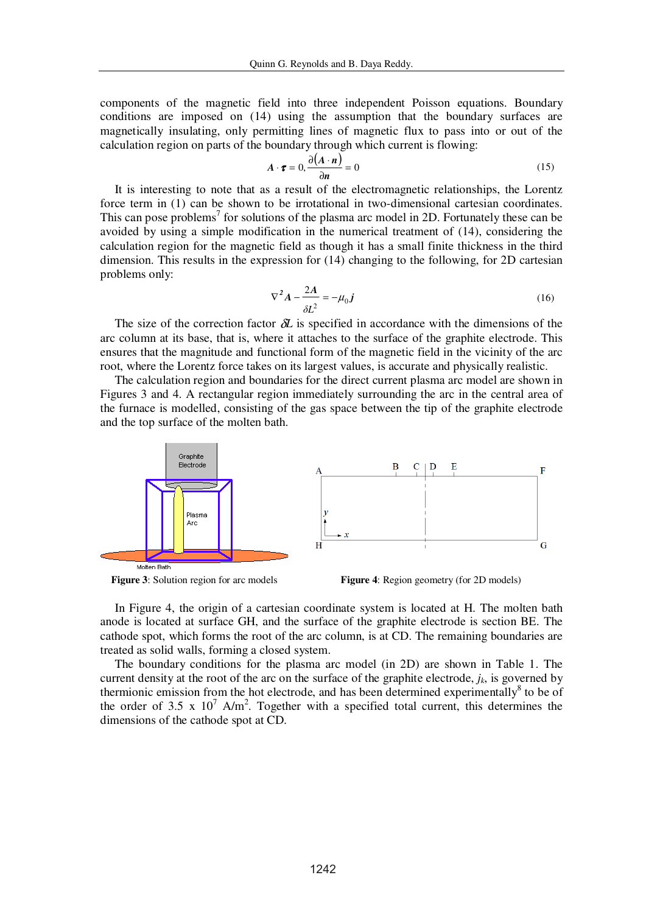components of the magnetic field into three independent Poisson equations. Boundary conditions are imposed on (14) using the assumption that the boundary surfaces are magnetically insulating, only permitting lines of magnetic flux to pass into or out of the calculation region on parts of the boundary through which current is flowing:

$$
A \cdot \boldsymbol{\tau} = 0, \frac{\partial (A \cdot \boldsymbol{n})}{\partial \boldsymbol{n}} = 0 \tag{15}
$$

It is interesting to note that as a result of the electromagnetic relationships, the Lorentz force term in (1) can be shown to be irrotational in two-dimensional cartesian coordinates. This can pose problems<sup>7</sup> for solutions of the plasma arc model in 2D. Fortunately these can be avoided by using a simple modification in the numerical treatment of (14), considering the calculation region for the magnetic field as though it has a small finite thickness in the third dimension. This results in the expression for (14) changing to the following, for 2D cartesian problems only:

$$
\nabla^2 \mathbf{A} - \frac{2\mathbf{A}}{\delta L^2} = -\mu_0 \mathbf{j}
$$
 (16)

The size of the correction factor δ*L* is specified in accordance with the dimensions of the arc column at its base, that is, where it attaches to the surface of the graphite electrode. This ensures that the magnitude and functional form of the magnetic field in the vicinity of the arc root, where the Lorentz force takes on its largest values, is accurate and physically realistic.

The calculation region and boundaries for the direct current plasma arc model are shown in Figures 3 and 4. A rectangular region immediately surrounding the arc in the central area of the furnace is modelled, consisting of the gas space between the tip of the graphite electrode and the top surface of the molten bath.





In Figure 4, the origin of a cartesian coordinate system is located at H. The molten bath anode is located at surface GH, and the surface of the graphite electrode is section BE. The cathode spot, which forms the root of the arc column, is at CD. The remaining boundaries are treated as solid walls, forming a closed system.

The boundary conditions for the plasma arc model (in 2D) are shown in Table 1. The current density at the root of the arc on the surface of the graphite electrode,  $j_k$ , is governed by thermionic emission from the hot electrode, and has been determined experimentally<sup>8</sup> to be of the order of 3.5 x  $10^7$  A/m<sup>2</sup>. Together with a specified total current, this determines the dimensions of the cathode spot at CD.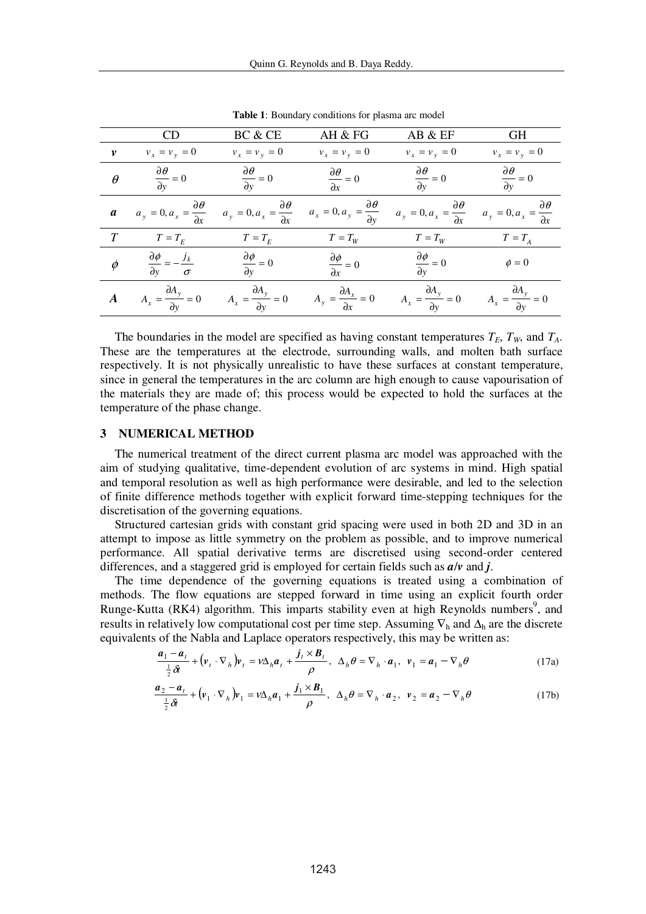|                    | CD                                                                | BC & CE                                             | AH & FG                                                   | AB & EF                                             | <b>GH</b>                                   |
|--------------------|-------------------------------------------------------------------|-----------------------------------------------------|-----------------------------------------------------------|-----------------------------------------------------|---------------------------------------------|
| $\boldsymbol{\nu}$ | $v_x = v_y = 0$                                                   | $v_x = v_y = 0$                                     | $v_x = v_y = 0$                                           | $v_x = v_y = 0$                                     | $v_x = v_y = 0$                             |
| $\theta$           | $\frac{\partial \theta}{\partial y} = 0$                          | $\frac{\partial \theta}{\partial y} = 0$            | $\frac{\partial \theta}{\partial x} = 0$                  | $\frac{\partial \theta}{\partial y} = 0$            | $\frac{\partial \theta}{\partial y} = 0$    |
| $\boldsymbol{a}$   | $\partial \theta$<br>$a_y = 0, a_x = \frac{\Delta x}{\partial x}$ | $a_y = 0, a_x = \frac{\partial \theta}{\partial x}$ | $\partial \theta$<br>$a_x = 0, a_y = \frac{d}{dx}$        | $a_y = 0, a_x = \frac{\partial \theta}{\partial x}$ | $a_y = 0, a_x = \frac{1}{\partial x}$       |
| T                  | $T = T_E$                                                         | $T = T_E$                                           | $T = T_W$                                                 | $T = T_W$                                           | $T = T_A$                                   |
| $\phi$             | $\frac{\partial \phi}{\partial y} = -\frac{j_k}{\sigma}$          | $\frac{\partial \phi}{\partial y} = 0$              | $\frac{\partial \phi}{\partial \phi} = 0$<br>$\partial x$ | $\frac{\partial \phi}{\partial y} = 0$              | $\phi = 0$                                  |
|                    | $\partial A_{v}$<br>$A_x = \frac{dy}{dy} = 0$                     | $A_x = \frac{\partial A_y}{\partial y} = 0$         | $A_y = \frac{\partial A_x}{\partial x} = 0$               | $A_x = \frac{\partial A_y}{\partial y} = 0$         | $A_x = \frac{\partial A_y}{\partial y} = 0$ |

**Table 1**: Boundary conditions for plasma arc model

The boundaries in the model are specified as having constant temperatures  $T_E$ ,  $T_W$ , and  $T_A$ . These are the temperatures at the electrode, surrounding walls, and molten bath surface respectively. It is not physically unrealistic to have these surfaces at constant temperature, since in general the temperatures in the arc column are high enough to cause vapourisation of the materials they are made of; this process would be expected to hold the surfaces at the temperature of the phase change.

#### **3 NUMERICAL METHOD**

The numerical treatment of the direct current plasma arc model was approached with the aim of studying qualitative, time-dependent evolution of arc systems in mind. High spatial and temporal resolution as well as high performance were desirable, and led to the selection of finite difference methods together with explicit forward time-stepping techniques for the discretisation of the governing equations.

Structured cartesian grids with constant grid spacing were used in both 2D and 3D in an attempt to impose as little symmetry on the problem as possible, and to improve numerical performance. All spatial derivative terms are discretised using second-order centered differences, and a staggered grid is employed for certain fields such as *a*/*v* and *j*.

The time dependence of the governing equations is treated using a combination of methods. The flow equations are stepped forward in time using an explicit fourth order Runge-Kutta (RK4) algorithm. This imparts stability even at high Reynolds numbers<sup>9</sup>, and results in relatively low computational cost per time step. Assuming  $\nabla_h$  and  $\Delta_h$  are the discrete equivalents of the Nabla and Laplace operators respectively, this may be written as:

$$
\frac{\boldsymbol{a}_1 - \boldsymbol{a}_t}{\frac{1}{2}\delta t} + (\boldsymbol{v}_t \cdot \nabla_h) \boldsymbol{v}_t = \nu \Delta_h \boldsymbol{a}_t + \frac{\boldsymbol{j}_t \times \boldsymbol{B}_t}{\rho}, \ \ \Delta_h \boldsymbol{\theta} = \nabla_h \cdot \boldsymbol{a}_1, \ \ \boldsymbol{v}_1 = \boldsymbol{a}_1 - \nabla_h \boldsymbol{\theta}
$$
\n(17a)

$$
\frac{\boldsymbol{a}_2 - \boldsymbol{a}_t}{\frac{1}{2}\delta t} + \left(\boldsymbol{v}_1 \cdot \nabla_h\right) \boldsymbol{v}_1 = \nu \Delta_h \boldsymbol{a}_1 + \frac{\boldsymbol{j}_1 \times \boldsymbol{B}_1}{\rho}, \ \ \Delta_h \boldsymbol{\theta} = \nabla_h \cdot \boldsymbol{a}_2, \ \ \boldsymbol{v}_2 = \boldsymbol{a}_2 - \nabla_h \boldsymbol{\theta} \tag{17b}
$$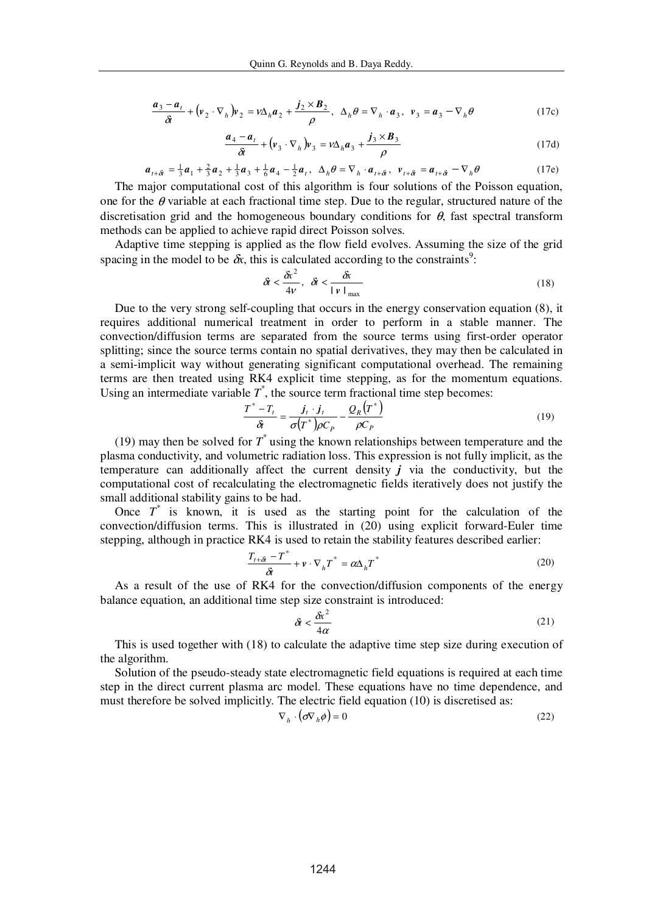$$
\frac{\boldsymbol{a}_3 - \boldsymbol{a}_t}{\delta t} + (\boldsymbol{v}_2 \cdot \nabla_h) \boldsymbol{v}_2 = \nu \Delta_h \boldsymbol{a}_2 + \frac{\boldsymbol{j}_2 \times \boldsymbol{B}_2}{\rho}, \ \ \Delta_h \boldsymbol{\theta} = \nabla_h \cdot \boldsymbol{a}_3, \ \ \boldsymbol{v}_3 = \boldsymbol{a}_3 - \nabla_h \boldsymbol{\theta}
$$
(17c)

$$
\frac{a_4 - a_t}{\delta t} + \left(v_3 \cdot \nabla_h\right)v_3 = v\Delta_h a_3 + \frac{j_3 \times B_3}{\rho} \tag{17d}
$$

$$
\boldsymbol{a}_{t+\delta} = \frac{1}{3}\boldsymbol{a}_1 + \frac{2}{3}\boldsymbol{a}_2 + \frac{1}{3}\boldsymbol{a}_3 + \frac{1}{6}\boldsymbol{a}_4 - \frac{1}{2}\boldsymbol{a}_t, \ \ \Delta_h \boldsymbol{\theta} = \nabla_h \cdot \boldsymbol{a}_{t+\delta}, \ \ \nu_{t+\delta} = \boldsymbol{a}_{t+\delta} - \nabla_h \boldsymbol{\theta}
$$
(17e)

The major computational cost of this algorithm is four solutions of the Poisson equation, one for the  $\theta$  variable at each fractional time step. Due to the regular, structured nature of the discretisation grid and the homogeneous boundary conditions for  $\theta$ , fast spectral transform methods can be applied to achieve rapid direct Poisson solves.

Adaptive time stepping is applied as the flow field evolves. Assuming the size of the grid spacing in the model to be  $\delta x$ , this is calculated according to the constraints<sup>9</sup>:

$$
\delta t < \frac{\delta x^2}{4\nu}, \quad \delta t < \frac{\delta x}{\left\| \nu \right\|_{\max}} \tag{18}
$$

Due to the very strong self-coupling that occurs in the energy conservation equation (8), it requires additional numerical treatment in order to perform in a stable manner. The convection/diffusion terms are separated from the source terms using first-order operator splitting; since the source terms contain no spatial derivatives, they may then be calculated in a semi-implicit way without generating significant computational overhead. The remaining terms are then treated using RK4 explicit time stepping, as for the momentum equations. Using an intermediate variable  $T^*$ , the source term fractional time step becomes:

$$
\frac{T^*-T_t}{\hat{\sigma}} = \frac{j_t \cdot j_t}{\sigma(T^*)\rho C_P} - \frac{Q_R(T^*)}{\rho C_P}
$$
(19)

(19) may then be solved for  $T^*$  using the known relationships between temperature and the plasma conductivity, and volumetric radiation loss. This expression is not fully implicit, as the temperature can additionally affect the current density  $j$  via the conductivity, but the computational cost of recalculating the electromagnetic fields iteratively does not justify the small additional stability gains to be had.

Once  $T^*$  is known, it is used as the starting point for the calculation of the convection/diffusion terms. This is illustrated in (20) using explicit forward-Euler time stepping, although in practice RK4 is used to retain the stability features described earlier:

$$
\frac{T_{t+\delta t} - T^*}{\delta t} + \nu \cdot \nabla_h T^* = \alpha \Delta_h T^*
$$
\n(20)

As a result of the use of RK4 for the convection/diffusion components of the energy balance equation, an additional time step size constraint is introduced:

$$
\delta t < \frac{\delta x^2}{4\alpha} \tag{21}
$$

This is used together with (18) to calculate the adaptive time step size during execution of the algorithm.

Solution of the pseudo-steady state electromagnetic field equations is required at each time step in the direct current plasma arc model. These equations have no time dependence, and must therefore be solved implicitly. The electric field equation (10) is discretised as:

$$
\nabla_h \cdot (\boldsymbol{\sigma} \nabla_h \boldsymbol{\phi}) = 0 \tag{22}
$$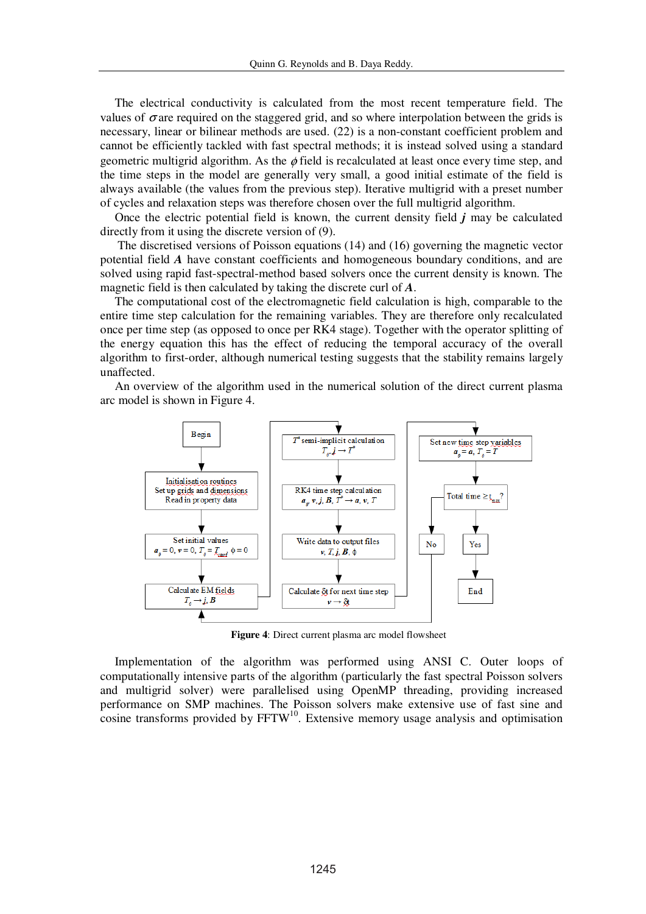The electrical conductivity is calculated from the most recent temperature field. The values of  $\sigma$  are required on the staggered grid, and so where interpolation between the grids is necessary, linear or bilinear methods are used. (22) is a non-constant coefficient problem and cannot be efficiently tackled with fast spectral methods; it is instead solved using a standard geometric multigrid algorithm. As the  $\phi$  field is recalculated at least once every time step, and the time steps in the model are generally very small, a good initial estimate of the field is always available (the values from the previous step). Iterative multigrid with a preset number of cycles and relaxation steps was therefore chosen over the full multigrid algorithm.

Once the electric potential field is known, the current density field *j* may be calculated directly from it using the discrete version of (9).

 The discretised versions of Poisson equations (14) and (16) governing the magnetic vector potential field *A* have constant coefficients and homogeneous boundary conditions, and are solved using rapid fast-spectral-method based solvers once the current density is known. The magnetic field is then calculated by taking the discrete curl of *A*.

The computational cost of the electromagnetic field calculation is high, comparable to the entire time step calculation for the remaining variables. They are therefore only recalculated once per time step (as opposed to once per RK4 stage). Together with the operator splitting of the energy equation this has the effect of reducing the temporal accuracy of the overall algorithm to first-order, although numerical testing suggests that the stability remains largely unaffected.

An overview of the algorithm used in the numerical solution of the direct current plasma arc model is shown in Figure 4.



**Figure 4**: Direct current plasma arc model flowsheet

Implementation of the algorithm was performed using ANSI C. Outer loops of computationally intensive parts of the algorithm (particularly the fast spectral Poisson solvers and multigrid solver) were parallelised using OpenMP threading, providing increased performance on SMP machines. The Poisson solvers make extensive use of fast sine and  $\cos$ ine transforms provided by FFTW<sup>10</sup>. Extensive memory usage analysis and optimisation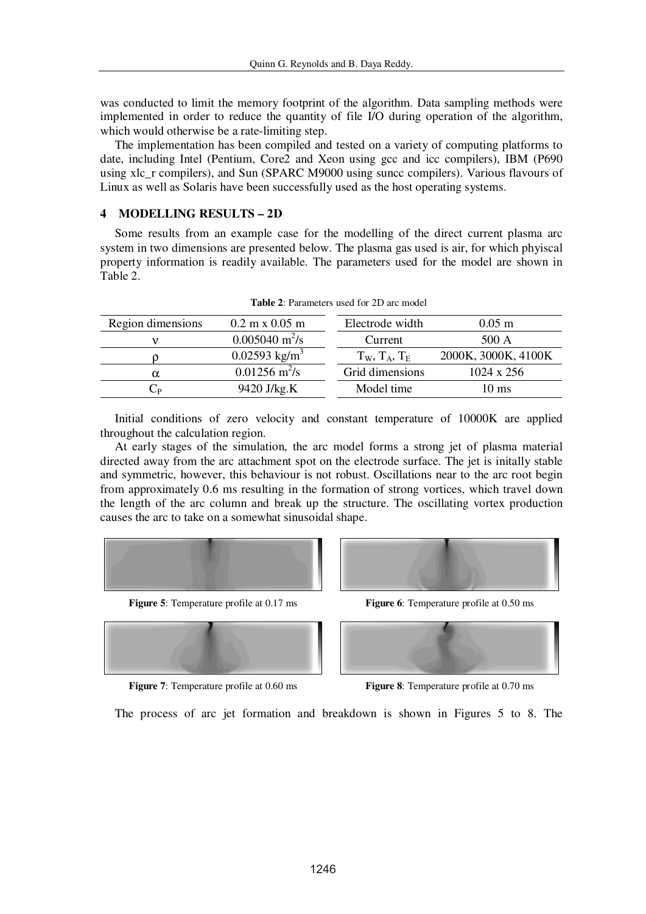was conducted to limit the memory footprint of the algorithm. Data sampling methods were implemented in order to reduce the quantity of file I/O during operation of the algorithm, which would otherwise be a rate-limiting step.

The implementation has been compiled and tested on a variety of computing platforms to date, including Intel (Pentium, Core2 and Xeon using gcc and icc compilers), IBM (P690 using xlc\_r compilers), and Sun (SPARC M9000 using suncc compilers). Various flavours of Linux as well as Solaris have been successfully used as the host operating systems.

#### **4 MODELLING RESULTS – 2D**

Some results from an example case for the modelling of the direct current plasma arc system in two dimensions are presented below. The plasma gas used is air, for which phyiscal property information is readily available. The parameters used for the model are shown in Table 2.

| Region dimensions | $0.2 \text{ m} \times 0.05 \text{ m}$ | Electrode width       | $0.05$ m            |
|-------------------|---------------------------------------|-----------------------|---------------------|
|                   | $0.005040 \text{ m}^2\text{/s}$       | Current               | 500 A               |
|                   | $0.02593$ kg/m <sup>3</sup>           | $T_W$ , $T_A$ , $T_E$ | 2000K, 3000K, 4100K |
|                   | $0.01256$ m <sup>2</sup> /s           | Grid dimensions       | $1024 \times 256$   |
|                   | 9420 J/kg.K                           | Model time            | $10 \text{ ms}$     |

**Table 2**: Parameters used for 2D arc model

Initial conditions of zero velocity and constant temperature of 10000K are applied throughout the calculation region.

At early stages of the simulation, the arc model forms a strong jet of plasma material directed away from the arc attachment spot on the electrode surface. The jet is initally stable and symmetric, however, this behaviour is not robust. Oscillations near to the arc root begin from approximately 0.6 ms resulting in the formation of strong vortices, which travel down the length of the arc column and break up the structure. The oscillating vortex production causes the arc to take on a somewhat sinusoidal shape.







**Figure 5**: Temperature profile at 0.17 ms **Figure 6**: Temperature profile at 0.50 ms



**Figure 7:** Temperature profile at 0.60 ms **Figure 8:** Temperature profile at 0.70 ms

The process of arc jet formation and breakdown is shown in Figures 5 to 8. The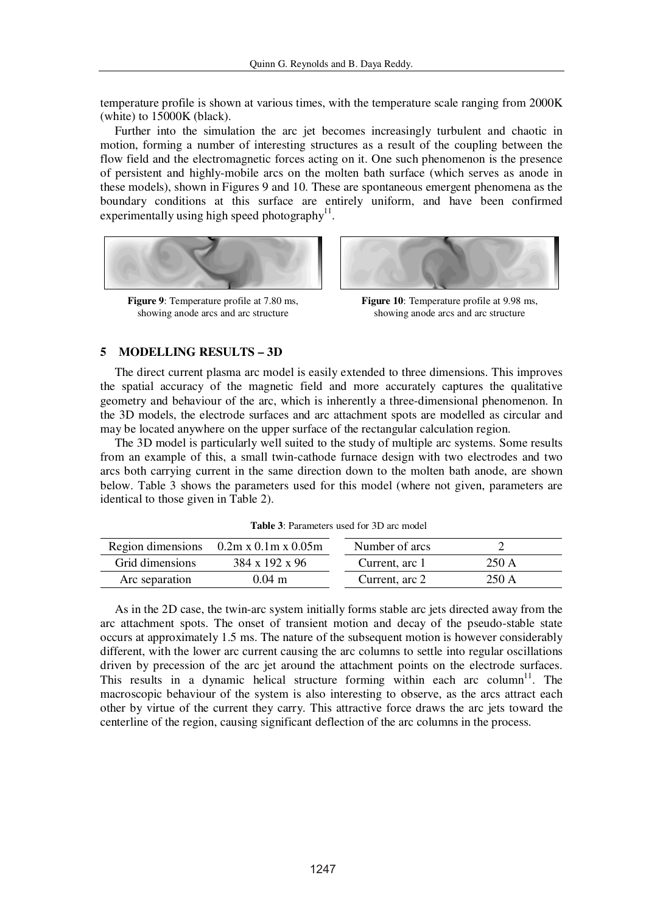temperature profile is shown at various times, with the temperature scale ranging from 2000K (white) to 15000K (black).

Further into the simulation the arc jet becomes increasingly turbulent and chaotic in motion, forming a number of interesting structures as a result of the coupling between the flow field and the electromagnetic forces acting on it. One such phenomenon is the presence of persistent and highly-mobile arcs on the molten bath surface (which serves as anode in these models), shown in Figures 9 and 10. These are spontaneous emergent phenomena as the boundary conditions at this surface are entirely uniform, and have been confirmed experimentally using high speed photography<sup>11</sup>.



**Figure 9**: Temperature profile at 7.80 ms, showing anode arcs and arc structure



**Figure 10**: Temperature profile at 9.98 ms, showing anode arcs and arc structure

#### **5 MODELLING RESULTS – 3D**

The direct current plasma arc model is easily extended to three dimensions. This improves the spatial accuracy of the magnetic field and more accurately captures the qualitative geometry and behaviour of the arc, which is inherently a three-dimensional phenomenon. In the 3D models, the electrode surfaces and arc attachment spots are modelled as circular and may be located anywhere on the upper surface of the rectangular calculation region.

The 3D model is particularly well suited to the study of multiple arc systems. Some results from an example of this, a small twin-cathode furnace design with two electrodes and two arcs both carrying current in the same direction down to the molten bath anode, are shown below. Table 3 shows the parameters used for this model (where not given, parameters are identical to those given in Table 2).

|                 | Region dimensions $0.2m \times 0.1m \times 0.05m$ | Number of arcs |       |  |
|-----------------|---------------------------------------------------|----------------|-------|--|
| Grid dimensions | $384 \times 192 \times 96$                        | Current, arc 1 | 250 A |  |
| Arc separation  | $0.04 \; \mathrm{m}$                              | Current, arc 2 | 250 A |  |

**Table 3**: Parameters used for 3D arc model

As in the 2D case, the twin-arc system initially forms stable arc jets directed away from the arc attachment spots. The onset of transient motion and decay of the pseudo-stable state occurs at approximately 1.5 ms. The nature of the subsequent motion is however considerably different, with the lower arc current causing the arc columns to settle into regular oscillations driven by precession of the arc jet around the attachment points on the electrode surfaces. This results in a dynamic helical structure forming within each arc column<sup>11</sup>. The macroscopic behaviour of the system is also interesting to observe, as the arcs attract each other by virtue of the current they carry. This attractive force draws the arc jets toward the centerline of the region, causing significant deflection of the arc columns in the process.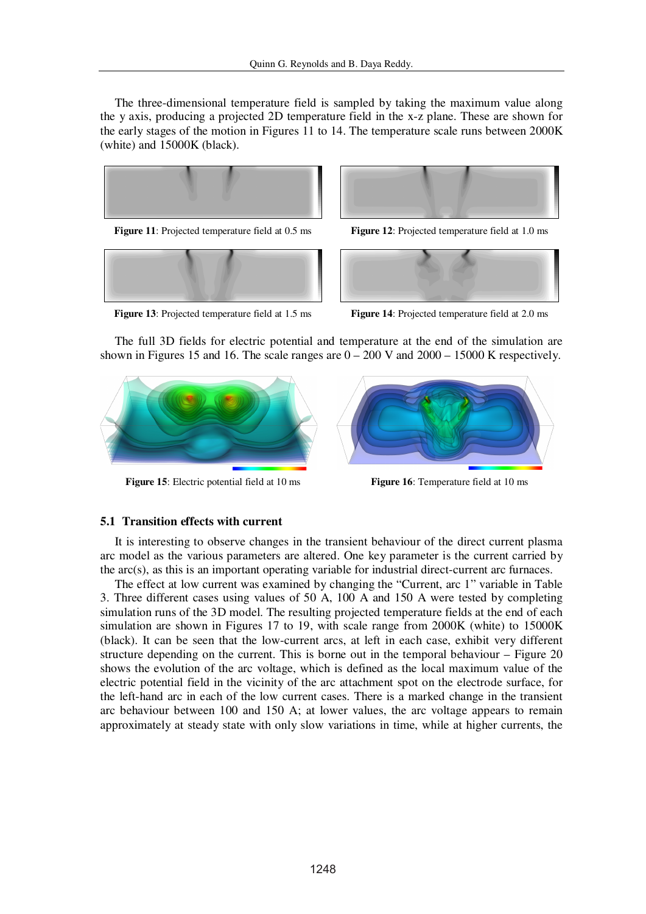The three-dimensional temperature field is sampled by taking the maximum value along the y axis, producing a projected 2D temperature field in the x-z plane. These are shown for the early stages of the motion in Figures 11 to 14. The temperature scale runs between 2000K (white) and 15000K (black).



**Figure 11**: Projected temperature field at 0.5 ms **Figure 12**: Projected temperature field at 1.0 ms







**Figure 13**: Projected temperature field at 1.5 ms **Figure 14**: Projected temperature field at 2.0 ms

The full 3D fields for electric potential and temperature at the end of the simulation are shown in Figures 15 and 16. The scale ranges are  $0 - 200$  V and  $2000 - 15000$  K respectively.



**Figure 15**: Electric potential field at 10 ms **Figure 16**: Temperature field at 10 ms



## **5.1 Transition effects with current**

It is interesting to observe changes in the transient behaviour of the direct current plasma arc model as the various parameters are altered. One key parameter is the current carried by the  $\arccos$ , as this is an important operating variable for industrial direct-current arc furnaces.

The effect at low current was examined by changing the "Current, arc 1" variable in Table 3. Three different cases using values of 50 A, 100 A and 150 A were tested by completing simulation runs of the 3D model. The resulting projected temperature fields at the end of each simulation are shown in Figures 17 to 19, with scale range from 2000K (white) to 15000K (black). It can be seen that the low-current arcs, at left in each case, exhibit very different structure depending on the current. This is borne out in the temporal behaviour – Figure 20 shows the evolution of the arc voltage, which is defined as the local maximum value of the electric potential field in the vicinity of the arc attachment spot on the electrode surface, for the left-hand arc in each of the low current cases. There is a marked change in the transient arc behaviour between 100 and 150 A; at lower values, the arc voltage appears to remain approximately at steady state with only slow variations in time, while at higher currents, the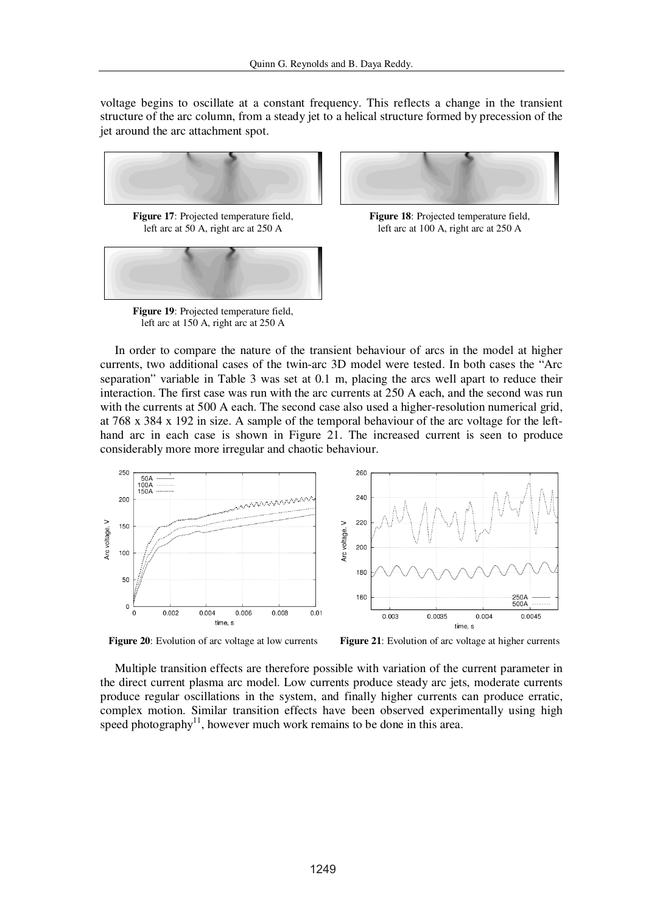voltage begins to oscillate at a constant frequency. This reflects a change in the transient structure of the arc column, from a steady jet to a helical structure formed by precession of the jet around the arc attachment spot.





**Figure 19**: Projected temperature field, left arc at 150 A, right arc at 250 A



**Figure 18**: Projected temperature field, left arc at 100 A, right arc at 250 A

In order to compare the nature of the transient behaviour of arcs in the model at higher currents, two additional cases of the twin-arc 3D model were tested. In both cases the "Arc separation" variable in Table 3 was set at 0.1 m, placing the arcs well apart to reduce their interaction. The first case was run with the arc currents at 250 A each, and the second was run with the currents at 500 A each. The second case also used a higher-resolution numerical grid, at 768 x 384 x 192 in size. A sample of the temporal behaviour of the arc voltage for the lefthand arc in each case is shown in Figure 21. The increased current is seen to produce considerably more more irregular and chaotic behaviour.



**Figure 20**: Evolution of arc voltage at low currents **Figure 21**: Evolution of arc voltage at higher currents

Multiple transition effects are therefore possible with variation of the current parameter in the direct current plasma arc model. Low currents produce steady arc jets, moderate currents produce regular oscillations in the system, and finally higher currents can produce erratic, complex motion. Similar transition effects have been observed experimentally using high speed photography<sup>11</sup>, however much work remains to be done in this area.